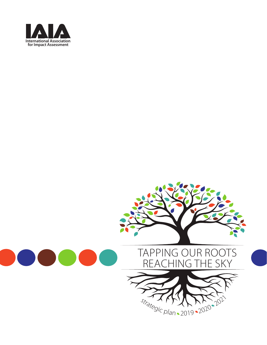

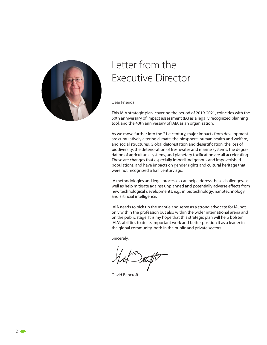

# Letter from the Executive Director

Dear Friends

This IAIA strategic plan, covering the period of 2019-2021, coincides with the 50th anniversary of impact assessment (IA) as a legally recognized planning tool, and the 40th anniversary of IAIA as an organization.

As we move further into the 21st century, major impacts from development are cumulatively altering climate, the biosphere, human health and welfare, and social structures. Global deforestation and desertification, the loss of biodiversity, the deterioration of freshwater and marine systems, the degradation of agricultural systems, and planetary toxification are all accelerating. These are changes that especially imperil Indigenous and impoverished populations, and have impacts on gender rights and cultural heritage that were not recognized a half century ago.

IA methodologies and legal processes can help address these challenges, as well as help mitigate against unplanned and potentially adverse effects from new technological developments, e.g., in biotechnology, nanotechnology and artificial intelligence.

IAIA needs to pick up the mantle and serve as a strong advocate for IA, not only within the profession but also within the wider international arena and on the public stage. It is my hope that this strategic plan will help bolster IAIA's abilities to do its important work and better position it as a leader in the global community, both in the public and private sectors.

Sincerely,

David Bancroft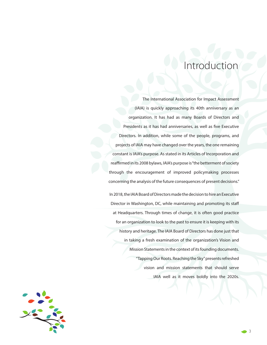# Introduction

The International Association for Impact Assessment (IAIA) is quickly approaching its 40th anniversary as an organization. It has had as many Boards of Directors and Presidents as it has had anniversaries, as well as five Executive Directors. In addition, while some of the people, programs, and projects of IAIA may have changed over the years, the one remaining constant is IAIA's purpose. As stated in its Articles of Incorporation and reaffirmed in its 2008 bylaws, IAIA's purpose is "the betterment of society through the encouragement of improved policymaking processes concerning the analysis of the future consequences of present decisions."

In 2018, the IAIA Board of Directors made the decision to hire an Executive Director in Washington, DC, while maintaining and promoting its staff at Headquarters. Through times of change, it is often good practice for an organization to look to the past to ensure it is keeping with its history and heritage. The IAIA Board of Directors has done just that in taking a fresh examination of the organization's Vision and Mission Statements in the context of its founding documents. "Tapping Our Roots. Reaching the Sky" presents refreshed vision and mission statements that should serve IAIA well as it moves boldly into the 2020s.



3  $\bullet$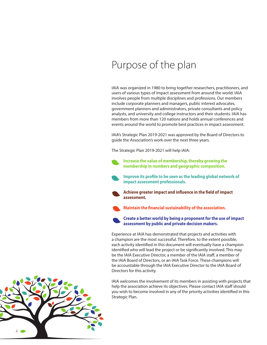# Purpose of the plan

IAIA was organized in 1980 to bring together researchers, practitioners, and users of various types of impact assessment from around the world. IAIA involves people from multiple disciplines and professions. Our members include corporate planners and managers, public interest advocates, government planners and administrators, private consultants and policy analysts, and university and college instructors and their students. IAIA has members from more than 120 nations and holds annual conferences and events around the world to promote best practices in impact assessment.

IAIA's Strategic Plan 2019-2021 was approved by the Board of Directors to guide the Association's work over the next three years.

The Strategic Plan 2019-2021 will help IAIA:

**Increase the value of membership, thereby growing the membership in numbers and geographic composition.**

**Improve its profile to be seen as the leading global network of impact assessment professionals.**

**Achieve greater impact and influence in the field of impact assessment.**

**Maintain the financial sustainability of the association.** 

**Create a better world by being a proponent for the use of impact assessment by public and private decision makers.**

Experience at IAIA has demonstrated that projects and activities with a champion are the most successful. Therefore, to the extent possible, each activity identified in this document will eventually have a champion identified who will lead the project or be significantly involved. This may be the IAIA Executive Director, a member of the IAIA staff, a member of the IAIA Board of Directors, or an IAIA Task Force. These champions will be accountable through the IAIA Executive Director to the IAIA Board of Directors for this activity.

IAIA welcomes the involvement of its members in assisting with projects that help the association achieve its objectives. Please contact IAIA staff should you wish to become involved in any of the priority activities identified in this Strategic Plan.

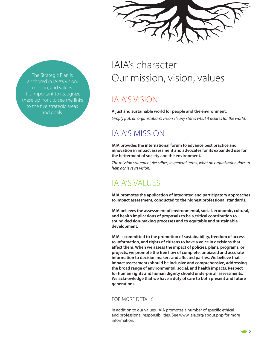The Strategic Plan is anchored in IAIA's vision, mission, and values. It is important to recognize these up front to see the links to the five strategic areas and goals.

# IAIA's character: Our mission, vision, values

## IAIA'S VISION

#### **A just and sustainable world for people and the environment.**

*Simply put, an organization's vision clearly states what it aspires for the world.* 

## IAIA'S MISSION

**IAIA provides the international forum to advance best practice and innovation in impact assessment and advocates for its expanded use for the betterment of society and the environment.**

*The mission statement describes, in general terms, what an organization does to help achieve its vision.* 

## IAIA'S VALUES

**IAIA promotes the application of integrated and participatory approaches to impact assessment, conducted to the highest professional standards.**

**IAIA believes the assessment of environmental, social, economic, cultural, and health implications of proposals to be a critical contribution to sound decision-making processes and to equitable and sustainable development.**

**IAIA is committed to the promotion of sustainability, freedom of access to information, and rights of citizens to have a voice in decisions that aff ect them. When we assess the impact of policies, plans, programs, or projects, we promote the free flow of complete, unbiased and accurate**  information to decision makers and affected parties. We believe that **impact assessments should be inclusive and comprehensive, addressing the broad range of environmental, social, and health impacts. Respect for human rights and human dignity should underpin all assessments. We acknowledge that we have a duty of care to both present and future generations.**

#### FOR MORE DETAILS

In addition to our values, IAIA promotes a number of specific ethical and professional responsibilities. See www.iaia.org/about.php for more information.

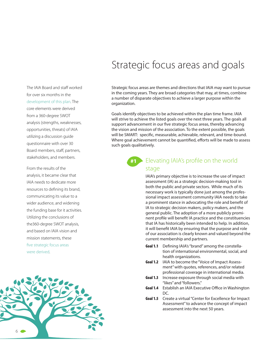# Strategic focus areas and goals

Strategic focus areas are themes and directions that IAIA may want to pursue in the coming years. They are broad categories that may, at times, combine a number of disparate objectives to achieve a larger purpose within the organization.

Goals identify objectives to be achieved within the plan time frame. IAIA will strive to achieve the listed goals over the next three years. The goals all support advancement in our five strategic focus areas, thereby advancing the vision and mission of the association. To the extent possible, the goals will be SMART: specific, measurable, achievable, relevant, and time-bound. Where goal achievement cannot be quantified, efforts will be made to assess such goals qualitatively.

### #1 Elevating IAIA's profile on the world stage

IAIA's primary objective is to increase the use of impact assessment (IA) as a strategic decision-making tool in both the public and private sectors. While much of its necessary work is typically done just among the professional impact assessment community IAIA needs to take a prominent stance in advocating the role and benefit of IA to strategic decision makers, policy makers, and the general public. The adoption of a more publicly prominent profile will benefit IA practice and the constituencies that IA has historically been intended to help. In addition, it will benefit IAIA by ensuring that the purpose and role of our association is clearly known and valued beyond the current membership and partners.

- **Goal 1.1** Defining IAIA's "brand" among the constellation of international environmental, social, and health organizations.
- **Goal 1.2** IAIA to become the "Voice of Impact Assessment" with quotes, references, and/or related professional coverage in international media.
- **Goal 1.3** Increase exposure through social media with "likes" and "followers."
- **Goal 1.4** Establish an IAIA Executive Office in Washington DC.
- **Goal 1.5** Create a virtual "Center for Excellence for Impact Assessment" to advance the concept of impact assessment into the next 50 years.

The IAIA Board and staff worked for over six months in the development of this plan. The core elements were derived from a 360-degree SWOT analysis (strengths, weaknesses, opportunities, threats) of IAIA utilizing a discussion guide questionnaire with over 30 Board members, staff, partners, stakeholders, and members.

From the results of the analysis, it became clear that IAIA needs to dedicate more resources to defining its brand, communicating its value to a wider audience, and widening the funding base for it activities. Utilizing the conclusions of the360-degree SWOT analysis, and based on IAIA vision and mission statements, these five strategic focus areas were derived.

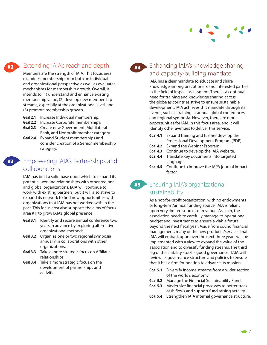

### Extending IAIA's reach and depth

Members are the strength of IAIA. This focus area examines membership from both an individual and organizational perspective as well as evaluates mechanisms for membership growth. Overall, it intends to (1) understand and enhance existing membership value, (2) develop new membership streams, especially at the organizational level, and (3) promote membership growth.

- **Goal 2.1** Increase Individual membership.
- **Goal 2.2** Increase Corporate memberships.
- **Goal 2.3** Create new Government, Multilateral Bank, and Nonprofit member category.
- **Goal 2.4** Expand Student memberships and consider creation of a Senior membership category.

### Empowering IAIA's partnerships and **#3** collaborations

IAIA has built a solid base upon which to expand its potential working relationships with other regional and global organizations. IAIA will continue to work with existing partners, but it will also strive to expand its network to find new opportunities with organizations that IAIA has not worked with in the past. This focus area also supports the aims of focus area #1, to grow IAIA's global presence.

- **Goal 3.1** Identify and secure annual conference two years in advance by exploring alternative organizational methods.
- **Goal 3.2** Organize one or two regional symposia annually in collaborations with other organizations.
- **Goal 3.3** Take a more strategic focus on Affiliate relationships.
- **Goal 3.4** Take a more strategic focus on the development of partnerships and activities.

### **#4** Enhancing IAIA's knowledge sharing and capacity-building mandate

IAIA has a clear mandate to educate and share knowledge among practitioners and interested parties in the field of impact assessment. There is a continual need for training and knowledge sharing across the globe as countries strive to ensure sustainable development. IAIA achieves this mandate through its events, such as training at annual global conferences and regional symposia. However, there are more opportunities for IAIA in this focus area, and it will identify other avenues to deliver this service.

- **Goal 4.1** Expand training and further develop the Professional Development Program (PDP).
- **Goal 4.2** Expand the Webinar Program.
- **Goal 4.3** Continue to develop the IAIA website.
- **Goal 4.4** Translate key documents into targeted languages.
- **Goal 4.5** Continue to improve the IAPA journal impact factor.

### **#5** Ensuring IAIA's organizational sustainability

As a not-for-profit organization, with no endowments or long-term/annual funding source, IAIA is reliant upon very limited sources of revenue. As such, the association needs to carefully manage its operational budget and investments to ensure a viable future beyond the next fiscal year. Aside from sound financial management, many of the new products/services that IAIA will embark upon over the next three years will be implemented with a view to expand the value of the association and to diversify funding streams. The third leg of the stability stool is good governance. IAIA will review its governance structure and policies to ensure that it has a firm foundation to advance its mission.

- **Goal 5.1** Diversify income streams from a wider section of the world's economy.
- **Goal 5.2** Manage the Financial Sustainability Fund.
- **Goal 5.3** Modernize financial processes to better track cash flows and support fund raising activity.
- **Goal 5.4** Strengthen IAIA internal governance structure.

**#2**

 $\bullet$  7